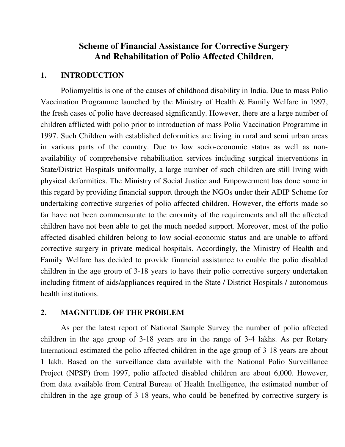### **Scheme of Financial Assistance for Corrective Surgery And Rehabilitation of Polio Affected Children.**

#### **1. INTRODUCTION**

Poliomyelitis is one of the causes of childhood disability in India. Due to mass Polio Vaccination Programme launched by the Ministry of Health & Family Welfare in 1997, the fresh cases of polio have decreased significantly. However, there are a large number of children afflicted with polio prior to introduction of mass Polio Vaccination Programme in 1997. Such Children with established deformities are living in rural and semi urban areas in various parts of the country. Due to low socio-economic status as well as nonavailability of comprehensive rehabilitation services including surgical interventions in State/District Hospitals uniformally, a large number of such children are still living with physical deformities. The Ministry of Social Justice and Empowerment has done some in this regard by providing financial support through the NGOs under their ADIP Scheme for undertaking corrective surgeries of polio affected children. However, the efforts made so far have not been commensurate to the enormity of the requirements and all the affected children have not been able to get the much needed support. Moreover, most of the polio affected disabled children belong to low social-economic status and are unable to afford corrective surgery in private medical hospitals. Accordingly, the Ministry of Health and Family Welfare has decided to provide financial assistance to enable the polio disabled children in the age group of 3-18 years to have their polio corrective surgery undertaken including fitment of aids/appliances required in the State / District Hospitals / autonomous health institutions.

#### **2. MAGNITUDE OF THE PROBLEM**

As per the latest report of National Sample Survey the number of polio affected children in the age group of 3-18 years are in the range of 3-4 lakhs. As per Rotary International estimated the polio affected children in the age group of 3-18 years are about 1 lakh. Based on the surveillance data available with the National Polio Surveillance Project (NPSP) from 1997, polio affected disabled children are about 6,000. However, from data available from Central Bureau of Health Intelligence, the estimated number of children in the age group of 3-18 years, who could be benefited by corrective surgery is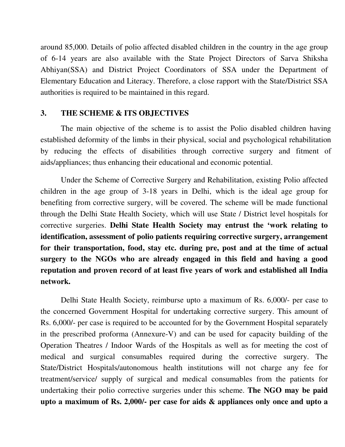around 85,000. Details of polio affected disabled children in the country in the age group of 6-14 years are also available with the State Project Directors of Sarva Shiksha Abhiyan(SSA) and District Project Coordinators of SSA under the Department of Elementary Education and Literacy. Therefore, a close rapport with the State/District SSA authorities is required to be maintained in this regard.

#### **3. THE SCHEME & ITS OBJECTIVES**

The main objective of the scheme is to assist the Polio disabled children having established deformity of the limbs in their physical, social and psychological rehabilitation by reducing the effects of disabilities through corrective surgery and fitment of aids/appliances; thus enhancing their educational and economic potential.

Under the Scheme of Corrective Surgery and Rehabilitation, existing Polio affected children in the age group of 3-18 years in Delhi, which is the ideal age group for benefiting from corrective surgery, will be covered. The scheme will be made functional through the Delhi State Health Society, which will use State / District level hospitals for corrective surgeries. **Delhi State Health Society may entrust the 'work relating to identification, assessment of polio patients requiring corrective surgery, arrangement for their transportation, food, stay etc. during pre, post and at the time of actual surgery to the NGOs who are already engaged in this field and having a good reputation and proven record of at least five years of work and established all India network.**

Delhi State Health Society, reimburse upto a maximum of Rs. 6,000/- per case to the concerned Government Hospital for undertaking corrective surgery. This amount of Rs. 6,000/- per case is required to be accounted for by the Government Hospital separately in the prescribed proforma (Annexure-V) and can be used for capacity building of the Operation Theatres / Indoor Wards of the Hospitals as well as for meeting the cost of medical and surgical consumables required during the corrective surgery. The State/District Hospitals/autonomous health institutions will not charge any fee for treatment/service/ supply of surgical and medical consumables from the patients for undertaking their polio corrective surgeries under this scheme. **The NGO may be paid upto a maximum of Rs. 2,000/- per case for aids & appliances only once and upto a**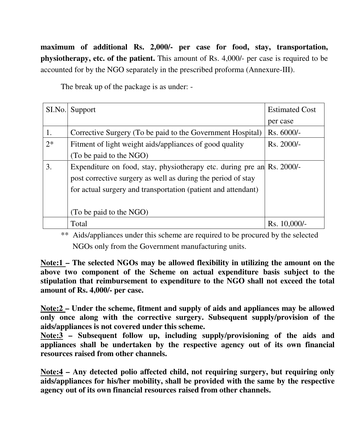**maximum of additional Rs. 2,000/- per case for food, stay, transportation, physiotherapy, etc. of the patient.** This amount of Rs. 4,000/- per case is required to be accounted for by the NGO separately in the prescribed proforma (Annexure-III).

The break up of the package is as under: -

| SI.No. | Support                                                                | <b>Estimated Cost</b> |
|--------|------------------------------------------------------------------------|-----------------------|
|        |                                                                        | per case              |
| 1.     | Corrective Surgery (To be paid to the Government Hospital)             | Rs. 6000/-            |
| $2*$   | Fitment of light weight aids/appliances of good quality                | $Rs. 2000/-$          |
|        | (To be paid to the NGO)                                                |                       |
| 3.     | Expenditure on food, stay, physiotherapy etc. during pre an Rs. 2000/- |                       |
|        | post corrective surgery as well as during the period of stay           |                       |
|        | for actual surgery and transportation (patient and attendant)          |                       |
|        |                                                                        |                       |
|        | (To be paid to the NGO)                                                |                       |
|        | Total                                                                  | Rs. 10,000/-          |

\*\* Aids/appliances under this scheme are required to be procured by the selected NGOs only from the Government manufacturing units.

**Note:1 – The selected NGOs may be allowed flexibility in utilizing the amount on the above two component of the Scheme on actual expenditure basis subject to the stipulation that reimbursement to expenditure to the NGO shall not exceed the total amount of Rs. 4,000/- per case.**

**Note:2 – Under the scheme, fitment and supply of aids and appliances may be allowed only once along with the corrective surgery. Subsequent supply/provision of the aids/appliances is not covered under this scheme.**

**Note:3 – Subsequent follow up, including supply/provisioning of the aids and appliances shall be undertaken by the respective agency out of its own financial resources raised from other channels.**

**Note:4 – Any detected polio affected child, not requiring surgery, but requiring only aids/appliances for his/her mobility, shall be provided with the same by the respective agency out of its own financial resources raised from other channels.**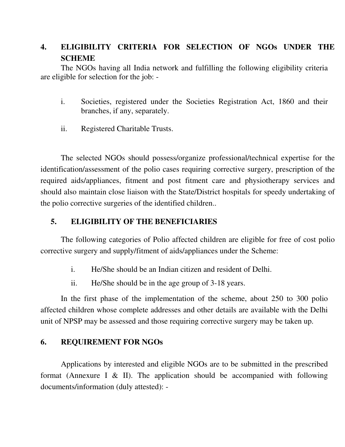# **4. ELIGIBILITY CRITERIA FOR SELECTION OF NGOs UNDER THE SCHEME**

The NGOs having all India network and fulfilling the following eligibility criteria are eligible for selection for the job: -

- i. Societies, registered under the Societies Registration Act, 1860 and their branches, if any, separately.
- ii. Registered Charitable Trusts.

The selected NGOs should possess/organize professional/technical expertise for the identification/assessment of the polio cases requiring corrective surgery, prescription of the required aids/appliances, fitment and post fitment care and physiotherapy services and should also maintain close liaison with the State/District hospitals for speedy undertaking of the polio corrective surgeries of the identified children..

#### **5. ELIGIBILITY OF THE BENEFICIARIES**

The following categories of Polio affected children are eligible for free of cost polio corrective surgery and supply/fitment of aids/appliances under the Scheme:

- i. He/She should be an Indian citizen and resident of Delhi.
- ii. He/She should be in the age group of 3-18 years.

In the first phase of the implementation of the scheme, about 250 to 300 polio affected children whose complete addresses and other details are available with the Delhi unit of NPSP may be assessed and those requiring corrective surgery may be taken up.

#### **6. REQUIREMENT FOR NGOs**

Applications by interested and eligible NGOs are to be submitted in the prescribed format (Annexure I  $\&$  II). The application should be accompanied with following documents/information (duly attested): -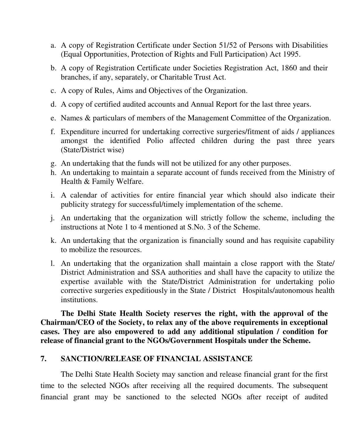- a. A copy of Registration Certificate under Section 51/52 of Persons with Disabilities (Equal Opportunities, Protection of Rights and Full Participation) Act 1995.
- b. A copy of Registration Certificate under Societies Registration Act, 1860 and their branches, if any, separately, or Charitable Trust Act.
- c. A copy of Rules, Aims and Objectives of the Organization.
- d. A copy of certified audited accounts and Annual Report for the last three years.
- e. Names & particulars of members of the Management Committee of the Organization.
- f. Expenditure incurred for undertaking corrective surgeries/fitment of aids / appliances amongst the identified Polio affected children during the past three years (State/District wise)
- g. An undertaking that the funds will not be utilized for any other purposes.
- h. An undertaking to maintain a separate account of funds received from the Ministry of Health & Family Welfare.
- i. A calendar of activities for entire financial year which should also indicate their publicity strategy for successful/timely implementation of the scheme.
- j. An undertaking that the organization will strictly follow the scheme, including the instructions at Note 1 to 4 mentioned at S.No. 3 of the Scheme.
- k. An undertaking that the organization is financially sound and has requisite capability to mobilize the resources.
- l. An undertaking that the organization shall maintain a close rapport with the State/ District Administration and SSA authorities and shall have the capacity to utilize the expertise available with the State/District Administration for undertaking polio corrective surgeries expeditiously in the State / District Hospitals/autonomous health institutions.

**The Delhi State Health Society reserves the right, with the approval of the Chairman/CEO of the Society, to relax any of the above requirements in exceptional cases. They are also empowered to add any additional stipulation / condition for release of financial grant to the NGOs/Government Hospitals under the Scheme.**

#### **7. SANCTION/RELEASE OF FINANCIAL ASSISTANCE**

The Delhi State Health Society may sanction and release financial grant for the first time to the selected NGOs after receiving all the required documents. The subsequent financial grant may be sanctioned to the selected NGOs after receipt of audited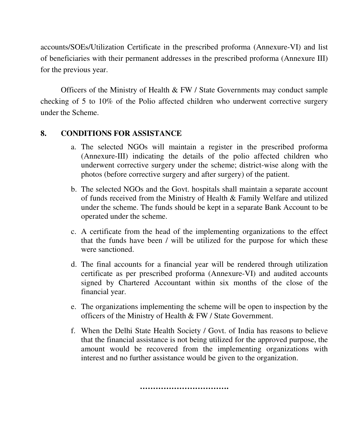accounts/SOEs/Utilization Certificate in the prescribed proforma (Annexure-VI) and list of beneficiaries with their permanent addresses in the prescribed proforma (Annexure III) for the previous year.

Officers of the Ministry of Health & FW / State Governments may conduct sample checking of 5 to 10% of the Polio affected children who underwent corrective surgery under the Scheme.

#### **8. CONDITIONS FOR ASSISTANCE**

- a. The selected NGOs will maintain a register in the prescribed proforma (Annexure-III) indicating the details of the polio affected children who underwent corrective surgery under the scheme; district-wise along with the photos (before corrective surgery and after surgery) of the patient.
- b. The selected NGOs and the Govt. hospitals shall maintain a separate account of funds received from the Ministry of Health & Family Welfare and utilized under the scheme. The funds should be kept in a separate Bank Account to be operated under the scheme.
- c. A certificate from the head of the implementing organizations to the effect that the funds have been / will be utilized for the purpose for which these were sanctioned.
- d. The final accounts for a financial year will be rendered through utilization certificate as per prescribed proforma (Annexure-VI) and audited accounts signed by Chartered Accountant within six months of the close of the financial year.
- e. The organizations implementing the scheme will be open to inspection by the officers of the Ministry of Health & FW / State Government.
- f. When the Delhi State Health Society / Govt. of India has reasons to believe that the financial assistance is not being utilized for the approved purpose, the amount would be recovered from the implementing organizations with interest and no further assistance would be given to the organization.

**…………………………….**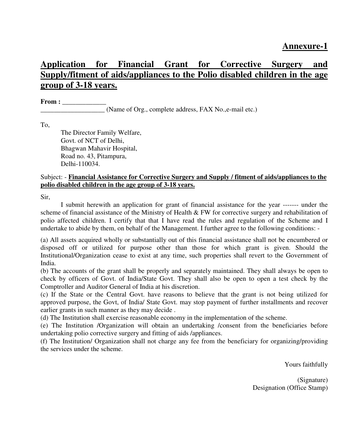# **Application for Financial Grant for Corrective Surgery and Supply/fitment of aids/appliances to the Polio disabled children in the age group of 3-18 years.**

**From : \_\_\_\_\_\_\_\_\_\_\_\_\_**

**\_\_\_\_\_\_\_\_\_\_\_\_\_\_\_\_\_\_\_** (Name of Org., complete address, FAX No.,e-mail etc.)

To,

The Director Family Welfare, Govt. of NCT of Delhi, Bhagwan Mahavir Hospital, Road no. 43, Pitampura, Delhi-110034.

#### Subject: - **Financial Assistance for Corrective Surgery and Supply / fitment of aids/appliances to the polio disabled children in the age group of 3-18 years.**

Sir,

I submit herewith an application for grant of financial assistance for the year ------- under the scheme of financial assistance of the Ministry of Health & FW for corrective surgery and rehabilitation of polio affected children. I certify that that I have read the rules and regulation of the Scheme and I undertake to abide by them, on behalf of the Management. I further agree to the following conditions: -

(a) All assets acquired wholly or substantially out of this financial assistance shall not be encumbered or disposed off or utilized for purpose other than those for which grant is given. Should the Institutional/Organization cease to exist at any time, such properties shall revert to the Government of India.

(b) The accounts of the grant shall be properly and separately maintained. They shall always be open to check by officers of Govt. of India/State Govt. They shall also be open to open a test check by the Comptroller and Auditor General of India at his discretion.

(c) If the State or the Central Govt. have reasons to believe that the grant is not being utilized for approved purpose, the Govt, of India/ State Govt. may stop payment of further installments and recover earlier grants in such manner as they may decide .

(d) The Institution shall exercise reasonable economy in the implementation of the scheme.

(e) The Institution /Organization will obtain an undertaking /consent from the beneficiaries before undertaking polio corrective surgery and fitting of aids /appliances.

(f) The Institution/ Organization shall not charge any fee from the beneficiary for organizing/providing the services under the scheme.

Yours faithfully

(Signature) Designation (Office Stamp)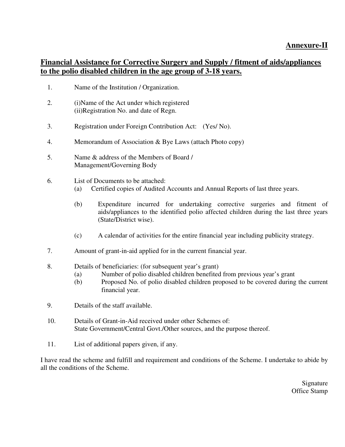### **Financial Assistance for Corrective Surgery and Supply / fitment of aids/appliances to the polio disabled children in the age group of 3-18 years.**

- 1. Name of the Institution / Organization.
- 2. (i)Name of the Act under which registered (ii)Registration No. and date of Regn.
- 3. Registration under Foreign Contribution Act: (Yes/ No).
- 4. Memorandum of Association & Bye Laws (attach Photo copy)
- 5. Name & address of the Members of Board / Management/Governing Body
- 6. List of Documents to be attached:
	- (a) Certified copies of Audited Accounts and Annual Reports of last three years.
	- (b) Expenditure incurred for undertaking corrective surgeries and fitment of aids/appliances to the identified polio affected children during the last three years (State/District wise).
	- (c) A calendar of activities for the entire financial year including publicity strategy.
- 7. Amount of grant-in-aid applied for in the current financial year.
- 8. Details of beneficiaries: (for subsequent year's grant)
	- (a) Number of polio disabled children benefited from previous year's grant
	- (b) Proposed No. of polio disabled children proposed to be covered during the current financial year.
- 9. Details of the staff available.
- 10. Details of Grant-in-Aid received under other Schemes of: State Government/Central Govt./Other sources, and the purpose thereof.
- 11. List of additional papers given, if any.

I have read the scheme and fulfill and requirement and conditions of the Scheme. I undertake to abide by all the conditions of the Scheme.

> Signature Office Stamp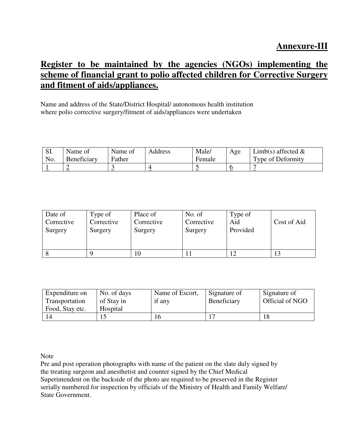## **Register to be maintained by the agencies (NGOs) implementing the scheme of financial grant to polio affected children for Corrective Surgery and fitment of aids/appliances.**

Name and address of the State/District Hospital/ autonomous health institution where polio corrective surgery/fitment of aids/appliances were undertaken

| SI. | Name of     | Name of | Address | Male/  | Age     | Limb(s) affected $\&$ |
|-----|-------------|---------|---------|--------|---------|-----------------------|
| No. | Beneficiary | Father  |         | Female |         | Type of Deformity     |
|     | --          |         |         |        | ν<br>-- |                       |

| Date of    | Type of    | Place of   | No. of     | Type of  | Cost of Aid |
|------------|------------|------------|------------|----------|-------------|
| Corrective | Corrective | Corrective | Corrective | Aid      |             |
| Surgery    | Surgery    | Surgery    | Surgery    | Provided |             |
| - 8        |            | 10         |            |          | 13          |

| Expenditure on  | No. of days | Name of Escort, | Signature of | Signature of    |
|-----------------|-------------|-----------------|--------------|-----------------|
| Transportation  | of Stay in  | if any          | Beneficiary  | Official of NGO |
| Food, Stay etc. | Hospital    |                 |              |                 |
|                 |             |                 |              |                 |

Note

Pre and post operation photographs with name of the patient on the slate duly signed by the treating surgeon and anesthetist and counter signed by the Chief Medical Superintendent on the backside of the photo are required to be preserved in the Register serially numbered for inspection by officials of the Ministry of Health and Family Welfare/ State Government.